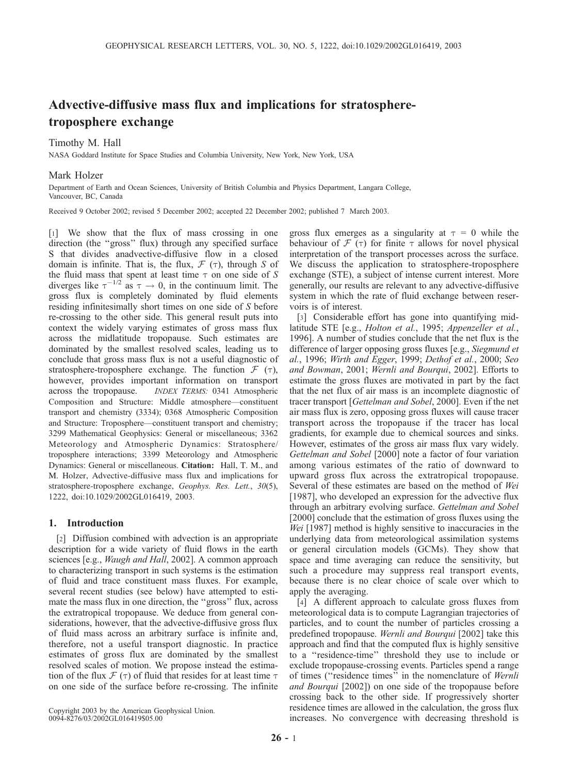# Advective-diffusive mass flux and implications for stratospheretroposphere exchange

## Timothy M. Hall

NASA Goddard Institute for Space Studies and Columbia University, New York, New York, USA

## Mark Holzer

Department of Earth and Ocean Sciences, University of British Columbia and Physics Department, Langara College, Vancouver, BC, Canada

Received 9 October 2002; revised 5 December 2002; accepted 22 December 2002; published 7 March 2003.

[1] We show that the flux of mass crossing in one direction (the ''gross'' flux) through any specified surface S that divides anadvective-diffusive flow in a closed domain is infinite. That is, the flux,  $\mathcal{F}(\tau)$ , through S of the fluid mass that spent at least time  $\tau$  on one side of S diverges like  $\tau^{-1/2}$  as  $\tau \to 0$ , in the continuum limit. The gross flux is completely dominated by fluid elements residing infinitesimally short times on one side of S before re-crossing to the other side. This general result puts into context the widely varying estimates of gross mass flux across the midlatitude tropopause. Such estimates are dominated by the smallest resolved scales, leading us to conclude that gross mass flux is not a useful diagnostic of stratosphere-troposphere exchange. The function  $\mathcal{F}(\tau)$ , however, provides important information on transport across the tropopause. INDEX TERMS: 0341 Atmospheric Composition and Structure: Middle atmosphere—constituent transport and chemistry (3334); 0368 Atmospheric Composition and Structure: Troposphere—constituent transport and chemistry; 3299 Mathematical Geophysics: General or miscellaneous; 3362 Meteorology and Atmospheric Dynamics: Stratosphere/ troposphere interactions; 3399 Meteorology and Atmospheric Dynamics: General or miscellaneous. Citation: Hall, T. M., and M. Holzer, Advective-diffusive mass flux and implications for stratosphere-troposphere exchange, Geophys. Res. Lett., 30(5), 1222, doi:10.1029/2002GL016419, 2003.

## 1. Introduction

[2] Diffusion combined with advection is an appropriate description for a wide variety of fluid flows in the earth sciences [e.g., *Waugh and Hall*, 2002]. A common approach to characterizing transport in such systems is the estimation of fluid and trace constituent mass fluxes. For example, several recent studies (see below) have attempted to estimate the mass flux in one direction, the ''gross'' flux, across the extratropical tropopause. We deduce from general considerations, however, that the advective-diffusive gross flux of fluid mass across an arbitrary surface is infinite and, therefore, not a useful transport diagnostic. In practice estimates of gross flux are dominated by the smallest resolved scales of motion. We propose instead the estimation of the flux  $\mathcal F$  ( $\tau$ ) of fluid that resides for at least time  $\tau$ on one side of the surface before re-crossing. The infinite

Copyright 2003 by the American Geophysical Union. 0094-8276/03/2002GL016419\$05.00

gross flux emerges as a singularity at  $\tau = 0$  while the behaviour of  $\mathcal F$  ( $\tau$ ) for finite  $\tau$  allows for novel physical interpretation of the transport processes across the surface. We discuss the application to stratosphere-troposphere exchange (STE), a subject of intense current interest. More generally, our results are relevant to any advective-diffusive system in which the rate of fluid exchange between reservoirs is of interest.

[3] Considerable effort has gone into quantifying midlatitude STE [e.g., *Holton et al.*, 1995; *Appenzeller et al.*, 1996]. A number of studies conclude that the net flux is the difference of larger opposing gross fluxes [e.g., Siegmund et al., 1996; Wirth and Egger, 1999; Dethof et al., 2000; Seo and Bowman, 2001; Wernli and Bourqui, 2002]. Efforts to estimate the gross fluxes are motivated in part by the fact that the net flux of air mass is an incomplete diagnostic of tracer transport [Gettelman and Sobel, 2000]. Even if the net air mass flux is zero, opposing gross fluxes will cause tracer transport across the tropopause if the tracer has local gradients, for example due to chemical sources and sinks. However, estimates of the gross air mass flux vary widely. Gettelman and Sobel [2000] note a factor of four variation among various estimates of the ratio of downward to upward gross flux across the extratropical tropopause. Several of these estimates are based on the method of Wei [1987], who developed an expression for the advective flux through an arbitrary evolving surface. Gettelman and Sobel [2000] conclude that the estimation of gross fluxes using the Wei [1987] method is highly sensitive to inaccuracies in the underlying data from meteorological assimilation systems or general circulation models (GCMs). They show that space and time averaging can reduce the sensitivity, but such a procedure may suppress real transport events, because there is no clear choice of scale over which to apply the averaging.

[4] A different approach to calculate gross fluxes from meteorological data is to compute Lagrangian trajectories of particles, and to count the number of particles crossing a predefined tropopause. Wernli and Bourqui [2002] take this approach and find that the computed flux is highly sensitive to a ''residence-time'' threshold they use to include or exclude tropopause-crossing events. Particles spend a range of times (''residence times'' in the nomenclature of Wernli and Bourqui [2002]) on one side of the tropopause before crossing back to the other side. If progressively shorter residence times are allowed in the calculation, the gross flux increases. No convergence with decreasing threshold is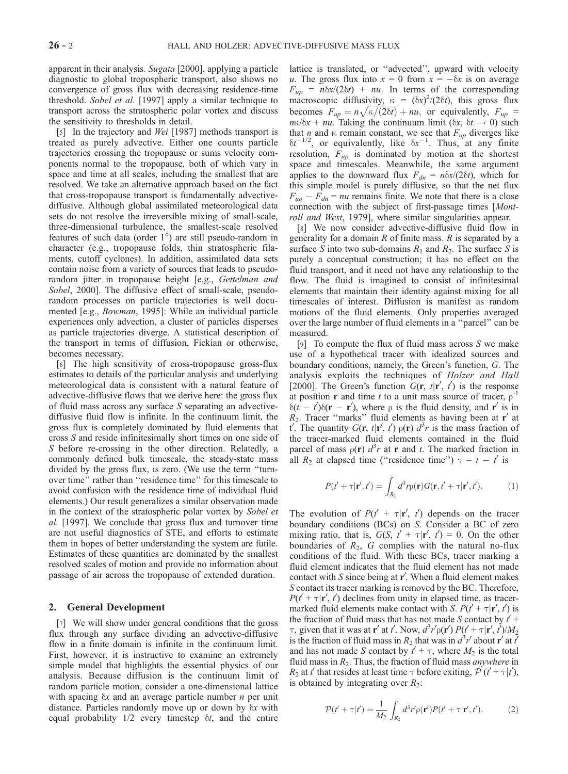apparent in their analysis. Sugata [2000], applying a particle diagnostic to global tropospheric transport, also shows no convergence of gross flux with decreasing residence-time threshold. Sobel et al. [1997] apply a similar technique to transport across the stratospheric polar vortex and discuss the sensitivity to thresholds in detail.

[5] In the trajectory and *Wei* [1987] methods transport is treated as purely advective. Either one counts particle trajectories crossing the tropopause or sums velocity components normal to the tropopause, both of which vary in space and time at all scales, including the smallest that are resolved. We take an alternative approach based on the fact that cross-tropopause transport is fundamentally advectivediffusive. Although global assimilated meteorological data sets do not resolve the irreversible mixing of small-scale, three-dimensional turbulence, the smallest-scale resolved features of such data (order  $1^{\circ}$ ) are still pseudo-random in character (e.g., tropopause folds, thin stratospheric filaments, cutoff cyclones). In addition, assimilated data sets contain noise from a variety of sources that leads to pseudorandom jitter in tropopause height [e.g., Gettelman and Sobel, 2000]. The diffusive effect of small-scale, pseudorandom processes on particle trajectories is well documented [e.g., Bowman, 1995]: While an individual particle experiences only advection, a cluster of particles disperses as particle trajectories diverge. A statistical description of the transport in terms of diffusion, Fickian or otherwise, becomes necessary.

[6] The high sensitivity of cross-tropopause gross-flux estimates to details of the particular analysis and underlying meteorological data is consistent with a natural feature of advective-diffusive flows that we derive here: the gross flux of fluid mass across any surface S separating an advectivediffusive fluid flow is infinite. In the continuum limit, the gross flux is completely dominated by fluid elements that cross S and reside infinitesimally short times on one side of S before re-crossing in the other direction. Relatedly, a commonly defined bulk timescale, the steady-state mass divided by the gross flux, is zero. (We use the term ''turnover time'' rather than ''residence time'' for this timescale to avoid confusion with the residence time of individual fluid elements.) Our result generalizes a similar observation made in the context of the stratospheric polar vortex by Sobel et al. [1997]. We conclude that gross flux and turnover time are not useful diagnostics of STE, and efforts to estimate them in hopes of better understanding the system are futile. Estimates of these quantities are dominated by the smallest resolved scales of motion and provide no information about passage of air across the tropopause of extended duration.

### 2. General Development

[7] We will show under general conditions that the gross flux through any surface dividing an advective-diffusive flow in a finite domain is infinite in the continuum limit. First, however, it is instructive to examine an extremely simple model that highlights the essential physics of our analysis. Because diffusion is the continuum limit of random particle motion, consider a one-dimensional lattice with spacing  $\delta x$  and an average particle number *n* per unit distance. Particles randomly move up or down by  $\delta x$  with equal probability  $1/2$  every timestep  $\delta t$ , and the entire

lattice is translated, or ''advected'', upward with velocity u. The gross flux into  $x = 0$  from  $x = -\delta x$  is on average  $F_{up} = n\delta x/(2\delta t) + nu$ . In terms of the corresponding macroscopic diffusivity,  $\kappa = (\delta x)^2/(2\delta t)$ , this gross flux becomes  $F_{up} = n \sqrt{\kappa/(2\delta t)} + nu$ , or equivalently,  $F_{up} =$  $n\kappa/\delta x + nu$ . Taking the continuum limit ( $\delta x$ ,  $\delta t \rightarrow 0$ ) such that *n* and  $\kappa$  remain constant, we see that  $F_{up}$  diverges like  $\delta t^{-1/2}$ , or equivalently, like  $\delta x^{-1}$ . Thus, at any finite resolution,  $F_{up}$  is dominated by motion at the shortest space and timescales. Meanwhile, the same argument applies to the downward flux  $F_{dn} = n\delta x/(2\delta t)$ , which for this simple model is purely diffusive, so that the net flux  $F_{up} - F_{dn} = nu$  remains finite. We note that there is a close connection with the subject of first-passage times [Montroll and West, 1979], where similar singularities appear.

[8] We now consider advective-diffusive fluid flow in generality for a domain  $R$  of finite mass.  $R$  is separated by a surface S into two sub-domains  $R_1$  and  $R_2$ . The surface S is purely a conceptual construction; it has no effect on the fluid transport, and it need not have any relationship to the flow. The fluid is imagined to consist of infinitesimal elements that maintain their identity against mixing for all timescales of interest. Diffusion is manifest as random motions of the fluid elements. Only properties averaged over the large number of fluid elements in a ''parcel'' can be measured.

[9] To compute the flux of fluid mass across  $S$  we make use of a hypothetical tracer with idealized sources and boundary conditions, namely, the Green's function, G. The analysis exploits the techniques of Holzer and Hall [2000]. The Green's function  $G(\mathbf{r}, t|\mathbf{r}', t')$  is the response at position **r** and time t to a unit mass source of tracer,  $\rho^{-1}$  $\delta(t - t')\delta(\mathbf{r} - \mathbf{r}')$ , where  $\rho$  is the fluid density, and  $\mathbf{r}'$  is in  $R_2$ . Tracer "marks" fluid elements as having been at r' at t'. The quantity  $G(\mathbf{r}, t | \mathbf{r}', t')$   $\rho(\mathbf{r}) d^3r$  is the mass fraction of the tracer-marked fluid elements contained in the fluid parcel of mass  $\rho(\mathbf{r}) d^3r$  at **r** and *t*. The marked fraction in all  $R_2$  at elapsed time ("residence time")  $\tau = t - t'$  is

$$
P(t'+\tau|\mathbf{r}',t') = \int_{R_2} d^3r \rho(\mathbf{r}) G(\mathbf{r},t'+\tau|\mathbf{r}',t'). \tag{1}
$$

The evolution of  $P(t' + \tau | \mathbf{r}', t')$  depends on the tracer boundary conditions (BCs) on S. Consider a BC of zero mixing ratio, that is,  $G(S, t' + \tau | \mathbf{r}', t') = 0$ . On the other boundaries of  $R_2$ , G complies with the natural no-flux conditions of the fluid. With these BCs, tracer marking a fluid element indicates that the fluid element has not made contact with  $S$  since being at  $r'$ . When a fluid element makes S contact its tracer marking is removed by the BC. Therefore,  $P(t' + \tau | \mathbf{r}', t')$  declines from unity in elapsed time, as tracermarked fluid elements make contact with *S*.  $P(t' + \tau | \mathbf{r}', t')$  is the fraction of fluid mass that has not made S contact by  $t'$  +  $\tau$ , given that it was at **r'** at *t'*. Now,  $d^3r'\rho(\mathbf{r}')P(\mathbf{r}'+\tau|\mathbf{r}',\mathbf{r}')/M_2$ is the fraction of fluid mass in  $R_2$  that was in  $d^3r'$  about  $\mathbf{r}'$  at  $\bar{t}'$ and has not made S contact by  $t' + \tau$ , where  $M_2$  is the total fluid mass in  $R_2$ . Thus, the fraction of fluid mass *anywhere* in  $R_2$  at t' that resides at least time  $\tau$  before exiting,  $\mathcal{P}(t' + \tau | t')$ , is obtained by integrating over  $R_2$ :

$$
\mathcal{P}(t'+\tau|t') = \frac{1}{M_2} \int_{R_2} d^3r' \rho(\mathbf{r}') P(t'+\tau|\mathbf{r}',t'). \tag{2}
$$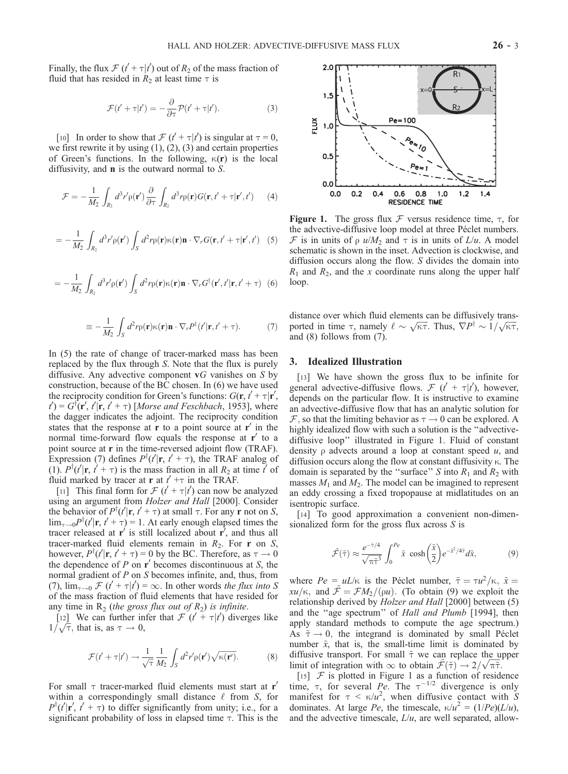Finally, the flux  $\mathcal{F}(t' + \tau | t')$  out of  $R_2$  of the mass fraction of fluid that has resided in  $R_2$  at least time  $\tau$  is

$$
\mathcal{F}(t' + \tau|t') = -\frac{\partial}{\partial \tau} \mathcal{P}(t' + \tau|t'). \tag{3}
$$

[10] In order to show that  $\mathcal{F}(t' + \tau | t')$  is singular at  $\tau = 0$ , we first rewrite it by using (1), (2), (3) and certain properties of Green's functions. In the following,  $\kappa(\mathbf{r})$  is the local diffusivity, and n is the outward normal to S.

$$
\mathcal{F} = -\frac{1}{M_2} \int_{R_2} d^3 r' \rho(\mathbf{r}') \frac{\partial}{\partial \tau} \int_{R_2} d^3 r \rho(\mathbf{r}) G(\mathbf{r}, t' + \tau | \mathbf{r}', t') \qquad (4)
$$

$$
= -\frac{1}{M_2} \int_{R_2} d^3 r' \rho(\mathbf{r}') \int_S d^2 r \rho(\mathbf{r}) \kappa(\mathbf{r}) \mathbf{n} \cdot \nabla_r G(\mathbf{r}, t' + \tau | \mathbf{r}', t') \quad (5)
$$

$$
= -\frac{1}{M_2} \int_{R_2} d^3 r' \rho(\mathbf{r}') \int_S d^2 r \rho(\mathbf{r}) \kappa(\mathbf{r}) \mathbf{n} \cdot \nabla_r G^{\dagger}(\mathbf{r}', t' | \mathbf{r}, t' + \tau) \tag{6}
$$

$$
\equiv -\frac{1}{M_2} \int_{S} d^2 r \rho(\mathbf{r}) \kappa(\mathbf{r}) \mathbf{n} \cdot \nabla_r P^{\dagger}(t'|\mathbf{r}, t' + \tau). \tag{7}
$$

In (5) the rate of change of tracer-marked mass has been replaced by the flux through S. Note that the flux is purely diffusive. Any advective component  $\mathbf{v}G$  vanishes on S by construction, because of the BC chosen. In (6) we have used the reciprocity condition for Green's functions:  $G(\mathbf{r}, t' + \tau | \mathbf{r}',$  $t'$ ) =  $G^{\dagger}(\mathbf{r}', t'|\mathbf{r}, t' + \tau)$  [Morse and Feschbach, 1953], where the dagger indicates the adjoint. The reciprocity condition states that the response at  $\mathbf r$  to a point source at  $\mathbf r'$  in the normal time-forward flow equals the response at  $r'$  to a point source at r in the time-reversed adjoint flow (TRAF). Expression (7) defines  $P^{\dagger}(t'|\mathbf{r}, t' + \tau)$ , the TRAF analog of (1).  $P^{\dagger}(t'|\mathbf{r}, t' + \tau)$  is the mass fraction in all  $R_2$  at time t' of fluid marked by tracer at **r** at  $t' +\tau$  in the TRAF.

[11] This final form for  $\mathcal{F}$  ( $t' + \tau | t'$ ) can now be analyzed using an argument from Holzer and Hall [2000]. Consider the behavior of  $P^{\dagger}(t'|\mathbf{r}, t' + \tau)$  at small  $\tau$ . For any **r** not on *S*,  $\lim_{\tau \to 0} P^{\dagger}(t' | \mathbf{r}, t' + \tau) = 1$ . At early enough elapsed times the tracer released at  $\mathbf{r}'$  is still localized about  $\mathbf{r}'$ , and thus all tracer-marked fluid elements remain in  $R_2$ . For **r** on S, however,  $P^{\dagger}(t'|\mathbf{r}, t' + \tau) = 0$  by the BC. Therefore, as  $\tau \to 0$ the dependence of  $P$  on  $r'$  becomes discontinuous at  $S$ , the normal gradient of P on S becomes infinite, and, thus, from (7),  $\lim_{\tau \to 0}$   $\mathcal{F}$  ( $t' + \tau | t'$ ) =  $\infty$ . In other words the flux into S of the mass fraction of fluid elements that have resided for any time in  $R_2$  (the gross flux out of  $R_2$ ) is infinite.

[12] We can further infer that  $\mathcal{F}(t^2 + \tau | t^2)$  diverges like  $1/\sqrt{\tau}$ , that is, as  $\tau \to 0$ ,

$$
\mathcal{F}(t' + \tau|t') \to \frac{1}{\sqrt{\tau}} \frac{1}{M_2} \int_S d^2 r' \rho(\mathbf{r}') \sqrt{\kappa(\mathbf{r}')}.
$$
 (8)

For small  $\tau$  tracer-marked fluid elements must start at  $r'$ within a correspondingly small distance  $\ell$  from S, for  $P^{\dagger}(t'|\mathbf{r}', t' + \tau)$  to differ significantly from unity; i.e., for a significant probability of loss in elapsed time  $\tau$ . This is the



Figure 1. The gross flux  $\mathcal F$  versus residence time,  $\tau$ , for the advective-diffusive loop model at three Péclet numbers. F is in units of  $\rho$  u/M<sub>2</sub> and  $\tau$  is in units of L/u. A model schematic is shown in the inset. Advection is clockwise, and diffusion occurs along the flow. S divides the domain into  $R_1$  and  $R_2$ , and the x coordinate runs along the upper half loop.

distance over which fluid elements can be diffusively transported in time  $\tau$ , namely  $\ell \sim \sqrt{\kappa \tau}$ . Thus,  $\nabla P^{\dagger} \sim 1/\sqrt{\kappa \tau}$ , and (8) follows from (7).

## 3. Idealized Illustration

[13] We have shown the gross flux to be infinite for general advective-diffusive flows.  $\mathcal{F}$  ( $t' + \tau | t'$ ), however, depends on the particular flow. It is instructive to examine an advective-diffusive flow that has an analytic solution for  $\mathcal F$ , so that the limiting behavior as  $\tau \to 0$  can be explored. A highly idealized flow with such a solution is the ''advectivediffusive loop'' illustrated in Figure 1. Fluid of constant density  $\rho$  advects around a loop at constant speed  $u$ , and diffusion occurs along the flow at constant diffusivity  $\kappa$ . The domain is separated by the "surface" S into  $R_1$  and  $R_2$  with masses  $M_1$  and  $M_2$ . The model can be imagined to represent an eddy crossing a fixed tropopause at midlatitudes on an isentropic surface.

[14] To good approximation a convenient non-dimensionalized form for the gross flux across  $S$  is

$$
\tilde{\mathcal{F}}(\tilde{\tau}) \approx \frac{e^{-\tilde{\tau}/4}}{\sqrt{\pi \tilde{\tau}^3}} \int_0^{Pe} \tilde{x} \cosh\left(\frac{\tilde{x}}{2}\right) e^{-\tilde{x}^2/4\tilde{\tau}} d\tilde{x},\tag{9}
$$

where  $Pe = uL/\kappa$  is the Péclet number,  $\tilde{\tau} = \tau u^2/\kappa$ ,  $\tilde{x} =$  $xu/\kappa$ , and  $\mathcal{\tilde{F}} = \mathcal{F}M_2/(\rho u)$ . (To obtain (9) we exploit the relationship derived by Holzer and Hall [2000] between (5) and the "age spectrum" of Hall and Plumb [1994], then apply standard methods to compute the age spectrum.) As  $\tilde{\tau} \rightarrow 0$ , the integrand is dominated by small Péclet number  $\tilde{x}$ , that is, the small-time limit is dominated by diffusive transport. For small  $\tilde{\tau}$  we can replace the upper diffusive transport. For small  $\tau$  we can replace the updentition with  $\infty$  to obtain  $\tilde{\mathcal{F}}(\tilde{\tau}) \to 2/\sqrt{\pi \tilde{\tau}}$ .

[15]  $F$  is plotted in Figure 1 as a function of residence time,  $\tau$ , for several Pe. The  $\tau^{-1/2}$  divergence is only manifest for  $\tau < \kappa/u^2$ , when diffusive contact with S dominates. At large  $Pe$ , the timescale,  $\kappa/u^2 = (1/Pe)(L/u)$ , and the advective timescale,  $L/u$ , are well separated, allow-